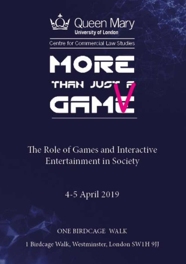

Centre for Commercial Law Studies



# The Role of Games and Interactive **Entertainment in Society**

4-5 April 2019

ONE BIRDCAGE WALK 1 Birdcage Walk, Westminster, London SW1H 9JJ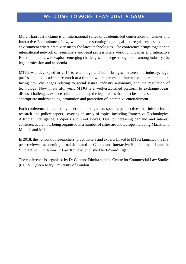## **WELCOME TO MORE THAN JUST A GAME**

More Than Just a Game is an international series of academic-led conferences on Games and Interactive Entertainment Law, which address cutting-edge legal and regulatory issues in an environment where creativity meets the latest technologies. The conference brings together an international network of researchers and legal professionals working in Games and Interactive Entertainment Law to explore emerging challenges and forge strong bonds among industry, the legal profession and academia.

MTJG was developed in 2015 to encourage and build bridges between the industry, legal profession, and academic research at a time in which games and interactive entertainment are facing new challenges relating to social issues, industry autonomy, and the regulation of technology. Now in its fifth year, MTJG is a well-established platform to exchange ideas, discuss challenges, explore solutions and map the legal issues that must be addressed for a more appropriate understanding, promotion and protection of interactive entertainment.

Each conference is themed by a set topic and gathers specific perspectives that inform future research and policy papers, covering an array of topics including Immersive Technologies, Artificial Intelligence, E-Sports and Loot Boxes. Due to increasing demand and interest, conferences are now being organised in a number of cities around Europe including Maastricht, Munich and Milan.

In 2018, the network of researchers, practitioners and experts linked to MTJG launched the first peer-reviewed academic journal dedicated to Games and Interactive Entertainment Law: the 'Interactive Entertainment Law Review' published by Edward Elgar.

The conference is organised by Dr Gaetano Dimita and the Centre for Commercial Law Studies (CCLS), Queen Mary University of London.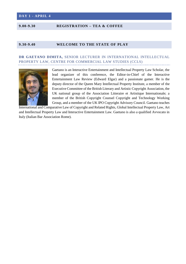#### **DAY 1 - APRIL 4**

#### **9.00-9.30 REGISTRATION – TEA & COFFEE**

#### **9.30-9.40 WELCOME TO THE STATE OF PLAY**

#### **DR GAETANO DIMITA,** SENIOR LECTURER IN INTERNATIONAL INTELLECTUAL PROPERTY LAW, CENTRE FOR COMMERCIAL LAW STUDIES (CCLS)



Gaetano is an Interactive Entertainment and Intellectual Property Law Scholar, the lead organizer of this conference, the Editor-in-Chief of the Interactive Entertainment Law Review (Edward Elgar) and a passionate gamer. He is the deputy director of the Queen Mary Intellectual Property Institute, a member of the Executive Committee of the British Literary and Artistic Copyright Association, the UK national group of the Association Litteraire et Artistique Internationale; a member of the British Copyright Counsel Copyright and Technology Working Group, and a member of the UK IPO Copyright Advisory Council. Gaetano teaches

International and Comparative Law of Copyright and Related Rights, Global Intellectual Property Law, Art and Intellectual Property Law and Interactive Entertainment Law. Gaetano is also a qualified Avvocato in Italy (Italian Bar Association Rome).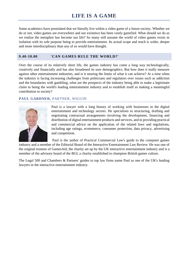Some academics have postulated that we literally live within a video game of a future society. Whether we do or not, video games are everywhere and our existence has been vastly gamified. What should we do as we realize the metaphor has become our life? So many still assume the world of video games exists in isolation with its sole purpose being to provide entertainment. Its actual scope and reach is wider, deeper and more interdisciplinary than any of us would have thought.

#### **9.40-10.00 'CAN GAMES RULE THE WORLD?'**

Over the course of its relatively short life, the games industry has come a long way technologically, creatively and financially and has also broadened its user demographics. But how does it really measure against other entertainment industries, and is it nearing the limits of what it can achieve? At a time when the industry is facing increasing challenges from politicians and regulators over issues such as addiction and the boundaries with gambling, what are the prospects of the industry being able to make a legitimate claim to being the world's leading entertainment industry and to establish itself as making a meaningful contribution to society?

#### **PAUL GARDNER,** PARTNER, WIGGIN



Paul is a lawyer with a long history of working with businesses in the digital entertainment and technology sectors. He specialises in structuring, drafting and negotiating contractual arrangements involving the development, financing and distribution of digital entertainment products and services, and in providing practical and commercial advice on the application of the related laws and regulations, including age ratings, ecommerce, consumer protection, data privacy, advertising and competition.

Paul is the author of Practical Commercial Law's guide to the computer games

industry and a member of the Editorial Board of the Interactive Entertainment Law Review. He was one of the original trustees of GamesAid, the charity set up by the UK interactive entertainment industry and is a member of the advisory board of the BGI, a charity established to champion British games culture.

The Legal 500 and Chambers & Partners' guides to top law firms name Paul as one of the UK's leading lawyers in the interactive entertainment industry.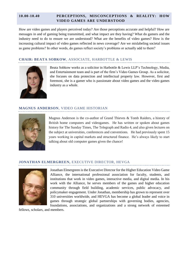#### **10.00-10.40 PERCEPTIONS, MISCONCEPTIONS & REALITY: HOW VIDEO GAMES ARE UNDERSTOOD**

How are video games and players perceived today? Are those perceptions accurate and helpful? How are messages in and of gaming being transmitted, and what impact are they having? What do gamers and the industry need to do to ensure we are understood? What are the benefits of video games? How is the increasing cultural impact of video games reflected in news coverage? Are we mislabeling societal issues as game problems? In other words, do games reflect society's problems or actually add to them?

#### **CHAIR: BEATA SOBKOW**, ASSOCIATE, HARBOTTLE & LEWIS



Beata Sobkow works as a solicitor in Harbottle & Lewis LLP's Technology, Media, and Entertainment team and is part of the firm's Video Games Group. As a solicitor, she focuses on data protection and intellectual property law. However, first and foremost, she is a gamer who is passionate about video games and the video games industry as a whole.

#### **MAGNUS ANDERSON**, VIDEO GAME HISTORIAN



Magnus Anderson is the co-author of Grand Thieves & Tomb Raiders, a history of British home computers and videogames. He has written or spoken about games history for The Sunday Times, The Telegraph and Radio 4, and also given lectures on the subject at universities, conferences and conventions. He had previously spent 15 years working in capital markets and structured finance. He's always likely to start talking about old computer games given the chance!

#### **JONATHAN ELMERGREEN,** EXECUTIVE DIRECTOR, HEVGA



Jonathan Elmergreen is the Executive Director for the Higher Education Video Game Alliance, the international professional association for faculty, students, and institutions that work in video games, interactive media, and digital media. In his work with the Alliance, he serves members of the games and higher education community through field building, academic services, public advocacy, and policymaker engagement. Under Jonathan, membership has grown to represent over 310 universities worldwide, and HEVGA has become a global leader and voice in games through strategic global partnerships with governing bodies, agencies, foundations, associations, and organizations and a strong network of esteemed

fellows, scholars, and members.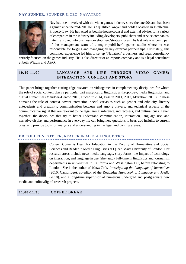#### **NAV SUNNER,** FOUNDER & CEO, NAVATRON



Nav has been involved with the video games industry since the late 90s and has been a gamer since the mid-70s. He is a qualified lawyer and holds a Masters in Intellectual Property Law. He has acted as both in-house counsel and external adviser for a variety of companies in the industry including developers, publishers and service companies. Later he moved into business development/strategy roles. His last role was being part of the management team of a major publisher's games studio where he was responsible for forging and managing all key external partnerships. Ultimately, this combined experience led him to set up "Navatron" a business and legal consultancy

entirely focused on the games industry. He is also director of an esports company and is a legal consultant at both Wiggin and A&O.

#### **10.40-11.00 LANGUAGE AND LIFE THROUGH VIDEO GAMES: INTERACTION, CONTEXT AND STORY**

This paper brings together cutting-edge research on videogames in complementary disciplines for whom the role of social context plays a particular part analytically: linguistic anthropology, media linguistics, and digital humanities (Mendoza-Denton 2016, Bucholtz 2014, Ensslin 2011, 2012, Myketiak, 2015). In these domains the role of context covers interaction, social variables such as gender and ethnicity, literary antecedents and creativity, communication between and among players, and technical aspects of the communicative signal that are relevant to the legal arena: inference, indirectness, and cultural cues. Taken together, the disciplines that try to better understand communication, interaction, language use, and narrative display and performance in everyday life can bring new questions to bear, add insights to current ones, and provide tools for analysis and understanding in the legal and gaming arenas*.*

#### **DR COLLEEN COTTER,** READER IN MEDIA LINGUISTICS



Colleen Cotter is Dean for Education in the Faculty of Humanities and Social Sciences and Reader in Media Linguistics at Queen Mary University of London. Her research areas include news media language, story forms, the impact of technology on interaction, and language in use. She taught full-time in linguistics and journalism departments in universities in California and Washington DC, before relocating to London. She is the author of *News Talk: Investigating the Language of Journalism* (2010; Cambridge), co-editor of the Routledge *Handbook of Language and Media*  (2018), and a long-time supervisor of numerous undergrad and postgraduate new

media and online/digital research projects.

**11.00-11.30 COFFEE BREAK**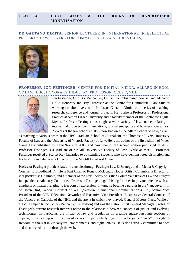#### **11.30-11.40 LOOT BOXES & THE RISKS OF RANDOMISED MONETISATION**

**DR GAETANO DIMITA,** SENIOR LECTURER IN INTERNATIONAL INTELLECTUAL PROPERTY LAW, CENTRE FOR COMMERCIAL LAW STUDIES (CCLS)



#### **PROFESSOR JON FESTINGER,** CENTRE FOR DIGITAL MEIDA, ALLARD SCHOOL OF LAW, UBC, HONORARY INDUSTRY PROFESSOR, CCLS, QMUL



Jon Festinger, Q.C. is a Vancouver, British Columbia based counsel and educator. He is Honorary Industry Professor at the Centre for Commercial Law Studies working collaboratively with Professor Gaetano Dimita on a series of teaching, research, conference and journal projects. He is also a Professor of Professional Practice at Simon Fraser University and a faculty member of the Centre for Digital Media. Professor Festinger has taught a wide variety of law courses relating to intellectual property, communications, journalism, sports and business over almost 25 years at the law school at UBC, now known as the Allard School of Law, as well

as teaching at various times at the UBC Graduate School of Journalism, the Thompson Rivers University Faculty of Law and the University of Victoria Faculty of Law. He is the author of the first edition of Video Game Law published by LexisNexis in 2005, and co-author of the second edition published in 2012. Professor Festinger is a graduate of McGill University's Faculty of Law. While at McGill, Professor Festinger received a Scarlet Key (awarded to outstanding students who have demonstrated distinction and leadership) and also was a Director of the McGill Legal Aid Clinic.

Professor Festinger practices law and consults through Festinger Law & Strategy and is Media & Copyright Counsel to Broadband TV. He is Past Chair of Ronald McDonald House British Columbia, a Director of viaSportBritish Columbia, and a member of the Law Society of British Columbia's Rule of Law and Lawyer Independence Advisory Committee. Professor Festinger began his legal career in private practice with an emphasis on matters relating to freedom of expression. In turn, he became a partner in the Vancouver firm of Owen Bird, General Counsel of WIC (Western International Communications) Ltd., Senior Vice President of the CTV Television Network and Executive Vice President, Business & General Counsel of the Vancouver Canucks of the NHL and the arena in which they played, General Motors Place. While at CTV he helped launch VTV (Vancouver Television) and was the station's first General Manager. Professor Festinger's current research interests relate to the relationship between concepts of justice and evolving technologies. In particular, the impact of law and regulation on creative endeavours, intersections of copyright fair dealing with freedom of expression particularly regarding video game "mods", the right to freedom of thought in virtually real environments, and digital ethics. He is also actively committed to open and distance education through the web.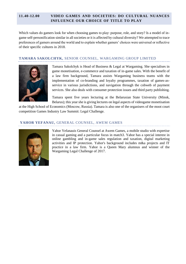#### **11.40-12.00 VIDEO GAMES AND SOCIETIES: DO CULTURAL NUANCES INFLUENCE OUR CHOICE OF TITLE TO PLAY**

Which values do gamers look for when choosing games to play: purpose, role, and story? Is a model of ingame self-personification similar in all societies or it is affected by cultural diversity? We attempted to trace preferences of gamers around the world and to explain whether gamers' choices were universal or reflective of their specific cultures in 2018.

#### **TAMARA SAKOLCHYK,** SENIOR COUNSEL, WARGAMING GROUP LIMITED



Tamara Sakolchyk is Head of Business & Legal at Wargaming. She specialises in game monetisation, e-commerce and taxation of in-game sales. With the benefit of a law firm background, Tamara assists Wargaming business teams with the implementation of co-branding and loyalty programmes, taxation of games-asservice in various jurisdictions, and navigation through the cobweb of payment services. She also deals with consumer protection issues and third party publishing.

Tamara spent five years lecturing at the Belarusian State University (Minsk, Belarus); this year she is giving lectures on legal aspects of videogame monetisation

at the High School of Economics (Moscow, Russia). Tamara is also one of the organisers of the moot court competition Games Industry Law Summit: Legal Challenge.

#### **YAHOR YEFANAU,** GENERAL COUNSEL, AWEM GAMES



Yahor Yefanauis General Counsel at Awem Games, a mobile studio with expertise in casual gaming and a particular focus in match3. Yahor has a special interest in online gambling and in-game sales regulation and taxation, digital marketing activities and IP protection. Yahor's background includes m&a projects and IT practice in a law firm. Yahor is a Queen Mary alumnus and winner of the Wargaming Legal Challenge of 2017.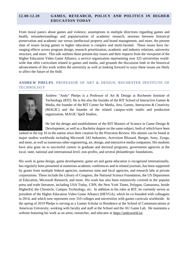#### **12.00-12.20 GAMES, RESEARCH, POLICY AND POLITICS IN HIGHER EDUCATION TODAY**

From moral panics about games and violence, assumptions in multiple directions regarding games and health, misunderstandings and popularization of academic research, tensions between historical preservation and academic use versus intellectual property and brand management, and more, the present slate of issues facing games in higher education is complex and multi-faceted. These issues have farranging effects across program design, research prioritization, academic and industry relations, university structure, and more. This talk outlines these present-day issues and their impacts from the viewpoint of the Higher Education Video Game Alliance, a service organization representing over 325 universities worldwide that offer curriculum related to games and media, and grounds the discussion both in the historical advancement of this work within the university as well as looking forward to ways these issues are likely to affect the future of the field.

#### **ANDREW PHELPS**, PROFESSOR OF ART & DESIGN, ROCHESTER INSTITUTE OF TECHNOLOGY



Andrew "Andy" Phelps is a Professor of Art & Design at Rochester Institute of Technology (RIT). He is the also the founder of the RIT School of Interactive Games & Media, the founder of the RIT Center for Media, Arts, Games, Interaction & Creativity (MAGIC) and the founder of the related campus-wide studio and production organization, MAGIC Spell Studios.

He led the design and establishment of the RIT Masters of Science in Game Design &

Development, as well as a Bachelor degree on the same subject, both of which have been ranked in the top 10 in the nation since their creation by the Princeton Review. His alumni can be found at major studios worldwide including Microsoft 343 Industries, Activision Blizzard, Bungie, Sony, Zynga, and more, as well as numerous other engineering, art, design, and interactive media companies. His students have also gone on to successful careers in graduate and doctoral programs, government agencies at the local, state, national and international level, non-profits, and several philanthropic foundations.

His work in game design, game development, game art and game education is recognized internationally, has regularly been presented at numerous academic conferences and in related journals, has been supported by grants from multiple federal agencies, numerous state and local agencies, and research labs at private corporations. These include the Library of Congress, the National Science Foundation, the US Department of Education, Microsoft Research, and more. His work has also been extensively covered in the popular press and trade literature, including USA Today, CNN, the New York Times, Polygon, Gamasutra, Inside HigherEd, the Chronicle, Campus Technology, etc. In addition to his roles at RIT, he currently serves as president of the Higher Education Video Game Alliance (HEVGA), which he co-founded with colleagues in 2014, and which now represents over 310 colleges and universities with games curricula worldwide. In the spring of 2019 Phelps is serving as a Games Scholar in Residence at the School of Communications at American University, working with faculty and staff at the School and the AU Game Lab. He maintains a website featuring his work as an artist, researcher, and educator a[t https://andyworld.io/](https://andyworld.io/)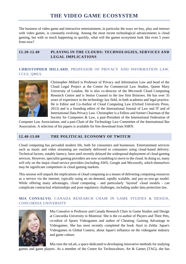## **THE VIDEO GAME ECOSYSTEM**

The business of video game and interactive entertainment, in particular the ways we buy, play and interact with video games, is constantly evolving. Among the most recent technological advancements is cloud gaming, but with so much happening so quickly, what will the games ecosystem look like even 5 years from now?

#### **12.20-12.40 PLAYING IN THE CLOUDS: TECHNOLOGIES, SERVICES AND LEGAL IMPLICATIONS**

#### **CHRISTOPHER MILLARD**, PROFESSOR OF PRIVACY AND INFORMATION LAW, CCLS, OMUL.



Christopher Millard is Professor of Privacy and Information Law and head of the Cloud Legal Project at the Centre for Commercial Law Studies, Queen Mary University of London. He is also co-director of the Microsoft Cloud Computing Research Centre and is Senior Counsel to the law firm Bristows. He has over 35 years of experience in the technology law field, in both academia and legal practice. He is Editor and Co-Author of Cloud Computing Law (Oxford University Press, 2013) and is a founding editor of the International Journal of Law and IT and of International Data Privacy Law. Christopher is a Fellow and former Chairman of the Society for Computers & Law, a past-President of the International Federation of

Computer Law Associations, and a past-Chair of the Technology Law Committee of the International Bar Association. A selection of his papers is available for free download from SSRN.

#### **12.40-13.00 THE POLITICAL ECONOMY OF TWITCH**

Cloud computing has pervaded modern life, both for consumers and businesses. Entertainment services such as music and video streaming are routinely delivered to consumers using cloud-based delivery. Technical factors, notably latency, have until recently delayed the widespread deployment of cloud gaming services. However, specialist gaming providers are now scrambling to move to the cloud. In doing so, many will rely on the major cloud service providers (including AWS, Google and Microsoft), which themselves may be significant competitors in cloud gaming markets.

This session will unpack the implications of cloud computing as a means of delivering computing resources as a service via the internet, typically using an on-demand, rapidly scalable, and pay-as-you-go model. While offering many advantages, cloud computing - and particularly 'layered' cloud models - can complicate contractual relationships and pose regulatory challenges, including under data protection law.

#### **MIA CONSALVO**, CANADA RESEARCH CHAIR IN GAME STUDIES & DESIGN, CONCORDIA UNIVERSITY



Mia Consalvo is Professor and Canada Research Chair in Game Studies and Design at Concordia University in Montreal. She is the co-author of Players and Their Pets, co-editor of Sports Videogames and author of Cheating: Gaining Advantage in Videogames. She has most recently completed the book Atari to Zelda: Japan's Videogames in Global Context, about Japan's influence on the videogame industry and game culture.

Mia runs the mLab, a space dedicated to developing innovative methods for studying games and game players. As a member of the Centre for Technoculture, Art & Games (TAG), she has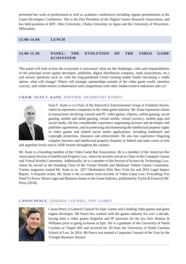presented her work at professional as well as academic conferences including regular presentations at the Game Developers Conference. She is the Past President of the Digital Games Research Association, and has held positions at MIT, Ohio University, Chubu University in Japan and the University of Wisconsin-Milwaukee.

#### **13.00-14.00 LUNCH**

**14.00-15.30 PANEL: THE EVOLUTION OF THE VIDEO GAME ECOSYSTEM**

This panel will look at how the ecosystem is structured, what are the challenges, roles and responsibilities of the principal actors (game developer, publisher, digital distribution company, trade associations, etc.) and answer questions such as: with the long-predicted Cloud Gaming model finally becoming a viable option, what will change? Where will strategic partnerships outside of the video game world, attention scarcity, and collab-etition (collaboration and competition) with other media/creative industries take us?

#### **CHAIR: SEAN F. KANE**, PARTNER, FRANKFURT KURNIT



Sean F. Kane is co-Chair of the Interactive Entertainment Group at Frankfurt Kurnit, where he represents companies in the video game industry. Mr. Kane represents clients in transactions involving console and PC video games, eSports, online gaming, social gaming, mobile and tablet gaming, virtual worlds, virtual currency, mobile apps and social media. He has considerable experience negotiating licenses and developer and publisher agreements, and in protecting and monetizing the intellectual property rights of video games and related social media applications, including trademark and copyright protection, clearance and enforcement. He also has experience litigating complex business and intellectual property disputes in federal and state courts at trial

and appellate levels and in ADR forums throughout the country.

Mr. Kane is a founding member of the Video Game Bar Association. He is a member of the American Bar Association Section of Intellectual Property Law, where he recently served as Chair of the Computer Games and Virtual Worlds Committee. Additionally, he is a member of the Section of Science & Technology Law, where he served as the founding Chair of the Virtual Worlds and Multiuser Online Games Committee. Variety magazine named Mr. Kane to its 2017 Dealmakers Elite New York list and 2016 Legal Impact Report. A frequent writer, Mr. Kane is the co-author most recently of Video Game Law: Everything You Need To Know About Legal and Business Issues in the Game Industry, published by Taylor & Francis/CRC Press (2018).

#### **CANON PENCE**, GENERAL COUNSEL, EPIC GAMES



Canon Pence is General Counsel for Epic Games and a leading video games and game engine developer. Mr Pence has worked with the games industry for over a decade, having been a video games litigation and IP associate for the law firm Hunton & Williams prior to going in-house at Epic. He is a graduate of the University of North Carolina at Chapel Hill and received his JD from the University of North Carolina School of Law. In 2014, Mr Pence was named a Corporate Counsel of the Year by the Triangle Business Journal.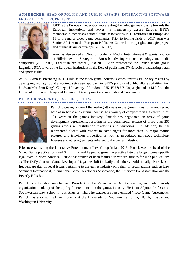#### **ANN BECKER,** HEAD OF POLICY AND PUBLIC AFFAIRS, INTERACTIVE SOFTWARE FEDERATION EUROPE (ISFE)



ISFE is the European Federation representing the video games industry towards the European institutions and serves its membership across Europe. ISFE's membership comprises national trade associations in 18 territories in Europe and 15 of the major video game companies. Prior to joining ISFE in 2017, Ann was Senior Adviser to the European Publishers Council on copyright, strategic project and public affairs campaigns (2010-2017).

Ann has also served as Director for the IP, Media, Entertainment & Sports practice at Hill+Knowlton Strategies in Brussels, advising various technology and media

companies (2011-2013). Earlier in her career (1998-2010), Ann represented the French media group Lagardère SCA towards the European institutions in the field of publishing, TV & radio broadcasting, retail and sports rights.

At ISFE Ann is advancing ISFE's role as the video game industry's voice towards EU policy makers by developing, managing and executing a strategic approach to ISFE's policy and public affairs activities. Ann holds an MA from King's College, University of London in UK, EU & US Copyright and an MA from the University of Paris in Regional Economic Development and international Cooperation.

#### **PATRICK SWEENEY**, PARTNER, IELAW



Patrick Sweeney is one of the leading attorneys in the games industry, having served both as in-house and external counsel to a variety of companies in his career. In his 18+ years in the games industry, Patrick has negotiated an array of game development agreements, resulting in the commercial release of more than 250 games across all distribution platforms and territories. In addition, he has represented clients with respect to game rights for more than 50 major motion pictures and television properties, as well as negotiated numerous technology licenses and other agreements inherent to the games industry.

Prior to establishing the Interactive Entertainment Law Group in late 2013, Patrick was the head of the Video Game practice for Reed Smith LLP and helped to grow the practice into the largest game-specific legal team in North America. Patrick has written or been featured in various articles for such publications as The Daily Journal, Game Developer Magazine, [a]List Daily and others. Additionally, Patrick is a frequent speaker on legal issues pertaining to the games industry on behalf of organizations such as Law Seminars International, International Game Developers Association, the American Bar Association and the Beverly Hills Bar.

Patrick is a founding member and President of the Video Game Bar Association, an invitation-only organization made up of the top legal practitioners in the games industry. He is an Adjunct Professor at Southwestern Law School in Los Angeles, where he teaches a course entitled Video Game Agreements. Patrick has also lectured law students at the University of Southern California, UCLA, Loyola and Washington University.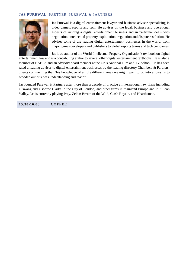#### **JAS PUREWAL**, PARTNER, PUREWAL & PARTNERS



Jas Purewal is a digital entertainment lawyer and business advisor specialising in video games, esports and tech. He advises on the legal, business and operational aspects of running a digital entertainment business and in particular deals with negotiation, intellectual property exploitation, regulation and dispute resolution. He advises some of the leading digital entertainment businesses in the world, from major games developers and publishers to global esports teams and tech companies.

Jas is co-author of the World Intellectual Property Organisation's textbook on digital entertainment law and is a contributing author to several other digital entertainment textbooks. He is also a member of BAFTA and an advisory board member at the UK's National Film and TV School. He has been rated a leading advisor to digital entertainment businesses by the leading directory Chambers & Partners, clients commenting that "his knowledge of all the different areas we might want to go into allows us to broaden our business understanding and reach".

Jas founded Purewal & Partners after more than a decade of practice at international law firms including Olswang and Osborne Clarke in the City of London, and other firms in mainland Europe and in Silicon Valley. Jas is currently playing Prey, Zelda: Breath of the Wild, Clash Royale, and Hearthstone.

**15.30-16.00 COFFEE**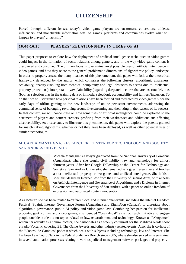Parsed through different lenses, today's video game players are customers, co-creators, athletes, influencers, and monetizable information sets. As games, platforms and communities evolve what will happen to players' citizenship?

#### **16.00-16.20 PLAYERS' RELATIONSHIPS IN TIMES OF AI**

This paper proposes to explore how the deployment of artificial intelligence techniques in video games could impact in the formation of social relations among gamers, and in the way video game content is discovered and consumed. The primary focus is to examine novel possible uses of artificial intelligence in video games, and how they relate to the general problematic dimensions of algorithmic policy landscape. In order to properly assess the many nuances of this phenomenom, this paper will follow the theoretical framework developed by the author, which comprises the following clusters: algorithmic awareness, scalability, opacity (tackling both technical complexity and legal obstacles to access due to intellectual property protections), interpretability/explainability (regarding deep architectures that are inscrutable), bias (both as selection bias in the training data or in model selection), accountability and fairness/inclusion. To do that, we will scrutinize how personal relations have been formed and mediated by video games since the early days of offline gaming to the new landscape of online persistent environments, addressing the communal sense of belonging revolving around live streaming and theorizing in the reasons of its success. In that context, we will concentrate on how some uses of artificial intelligence could be exploited to the detriment of players and content creators, profiting from their weaknesses and addictions and affecting discoverability. As a case study to illustrate this phenomenon, this paper will explore the patents granted for matchmaking algorithms, whether or not they have been deployed, as well as other potential uses of similar technologies.

#### **MICAELA MANTEGNA**, RESEARCHER, CENTER FOR TECHNOLOGY AND SOCIETY, SAN ANDRES UNIVERSITY



Micaela Mantegna is a lawyer graduated from the National University of Comahue (Argentina), where she taught civil liability, law and technology for almost fourteen years. After her Google Fellowship at the Center for Technology and Society at San Andrés University, she remained as a guest researcher and teaches about intellectual property, video games and artificial intelligence. She holds a specialist degree in Internet Law from the University of Buenos Aires, with a thesis on Artificial Intelligence and Governance of Algorithms, and a Diploma in Internet Governance from the University of San Andres, with a paper on online freedom of expression and automated content moderation.

As a lecturer, she has been invited to different local and international events, including the Internet Freedom Festival (Spain), Internet Governance Forum (Argentina) and RightsCon (Canada), to dissertate about algorithmic governance, public AI policy and video game law. Combining her passion for intellectual property, geek culture and video games, she founded "Geekylegal" as an outreach initiative to engage people outside academia on topics related to law, entertainment and technology. Known as "Abogamer" within her activity as a communicator, she participates as a weekly columnist for the Malditos Nerds show at radio Vorterix, covering E3, The Game Awards and other industry related events. Also, she is co-host of the "Control de Cambios" podcast which deals with subjects including technology, law and Internet. She has been Law Court Clerk in the Federal Judiciary Branch since 2005, where she also served as users trainer in several automation processes relating to various judicial management software packages and projects.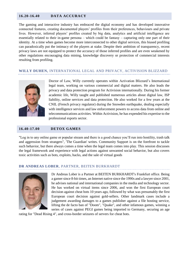#### **16.20-16.40 DATA ACCURACY**

The gaming and interactive industry has embraced the digital economy and has developed innovative connected features, creating documented players' profiles from their preferences, behaviours and private lives. However, inferred players' profiles created by big data, analytics and artificial intelligence are essentially related to their in-game persona – which could be fantasy – capturing only one part of their identity. At a time when games become more interconnected to other digital services, this biased profiling can paradoxically put the intimacy of the players at stake. Despite their ambition of transparency, recent privacy laws are not equipped to protect the accuracy of those inferred profiles and are even weakened by other regulations encouraging data mining, knowledge discovery or protection of commercial interests resulting from profiling.

#### **WILLY DUHEN,** INTERNATIONAL LEGAL AND PRIVACY, ACTIVISION BLIZZARD



Doctor of Law, Willy currently operates within Activation Blizzard's International legal team, working on various commercial and digital matters. He also leads the privacy and data protection program for Activision internationally. During his former academic life, Willy taught and published numerous articles about digital law, ISP liability, online services and data protection. He also worked for a few years at the CNIL (French privacy regulator) during the Snowden earthquake, dealing especially with intelligence services and law enforcement powers to access data from online and telecommunications activities. Within Activision, he has expended his expertise to the professional esports sector.

#### **16.40-17.00 DETOX GAMES**

"Log in to any online game or popular stream and there is a good chance you'll run into hostility, trash talk and aggression from strangers", 'The Guardian' writes. Community Support is on the forefront to tackle such behavior, but there always comes a time when the legal team comes into play. This session discusses the legal framework and experience with legal actions against unwanted social behavior, but also covers toxic activities such as bots, exploits, hacks, and the sale of virtual goods

#### **DR ANDREAS LOBER**, PARTNER, BEITEN BURKHARDT



Dr Andreas Lober is a Partner at BEITEN BURKHARDT's Frankfurt office. Being a gamer since 8-bit times, an Internet native since the 1990s and a lawyer since 2001, he advises national and international companies in the media and technology sector. He has worked on virtual items since 2006, and won the first European court decision against cheat bots 10 years ago, followed by what was presumably the first European court decision against gold-sellers. Other landmark cases include a judgement awarding damages to a games publisher against a file hosting service, lifting the de facto ban of "Doom", "Quake", and other infamous games, winning a series of cases against PEGI games being imported to Germany, securing an age

rating for "Dead Rising 4", and cross-border seizures of servers for cheat bots.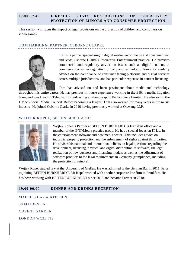#### **17.00-17.40 FIRESIDE CHAT: RESTRICTIONS ON CREATIVITY– PROTECTION OF MINORS AND CONSUMER PROTECTION**

This session will focus the impact of legal provisions on the protection of children and consumers on video games.

#### **TOM HARDING**, PARTNER, OSBORNE CLARKE



Tom is a partner specialising in digital media, e-commerce and consumer law, and leads Osborne Clarke's Interactive Entertainment practice. He provides commercial and regulatory advice on issues such as digital content, ecommerce, consumer regulation, privacy and technology. Tom also regularly advises on the compliance of consumer facing platforms and digital services across multiple jurisdictions, and has particular expertise in content licensing.

Tom has advised on and been passionate about media and technology throughout his entire career. He has previous in-house experience working in the BBC's media litigation team, and was Head of Television Broadcasting at Phonographic Performance Limited. He also sat on the DMA's Social Media Council. Before becoming a lawyer, Tom also worked for many years in the music industry. He joined Osborne Clarke in 2010 having previously worked at Olswang LLP.

#### **WOJTEK ROPEL,** BEITEN BURKHARDT



Wojtek Ropel is Partner at BEITEN BURKHARDT's Frankfurt office and a member of the IP/IT/Media practice group. He has a special focus on IT law in the entertainment software and new media sector. This includes advice on industrial property protection and the enforcement of rights against third parties. He advises his national and international clients on legal questions regarding the development, licensing, physical and digital distribution of software, the legal realization of new business and financing models as well as the adjustment of software products to the legal requirements in Germany (compliance, including the protection of minors).

Wojtek Ropel studied law at the University of Gießen. He was admitted to the German Bar in 2011. Prior to joining BEITEN BURKHARDT, Mr Ropel worked with another corporate law firm in Frankfurt. He has been working with BEITEN BURKHARDT since 2015 and became Partner in 2018.

#### **19.00-00.00 DINNER AND DRINKS RECEPTION**

MABEL'S BAR & KITCHEN 30 MAIDEN LN COVENT GARDEN LONDON WC2E 7JS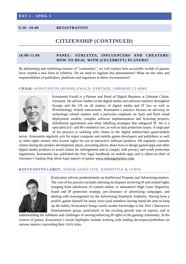#### **9.30 -10.00 REGISTRATION**

### **CITIZENSHIP (CONTINUED)**

#### **10.00-11.00 PANEL: ATHLETES, INFLUENCERS AND CHEATERS: HOW TO DEAL WITH (CELEBRITY) PLAYERS?**

By delineating and redefining notions of "community", we will explore how accessible worlds of gamers have created a new form of celebrity. Do we need to regulate this phenomenon? What are the roles and responsibilities of publishers, platforms and regulators in these circumstances?

#### **CHAIR:** KONSTANTIN (KONNI) EWALD, PARTNER, OSBORNE CLARKE



Konstantin Ewald is a Partner and Head of Digital Business at Osborne Clarke, Germany. He advises leaders in the digital media and software industry throughout Europe and the US on all matters of digital media and IT law as well as IP/technology related transactions. Konstantin's practice focuses on advising on technology related matters with a particular emphasis on SaaS and PaaS cloud deployment models, complex software implementation and licensing projects, distribution agreements and white labelling strategies that safeguard IP. He is a specialist in E- and M-commerce law, as well as data protection issues. A large part of his practice is working with clients in the digital media/video game/mobile

sector. Konstantin regularly acts for major computer and mobile games developers and publishers as well as other rights owners who license rights for use in interactive software products. He regularly counsels clients during the product development phase, providing advice about how to design games/apps and other digital media products to avoid claims for infringement and to comply with privacy and youth protection regulations. Konstantin has published the first legal handbook on mobile apps and is editor-in-chief of Germany's leading blog about legal aspects of game[s www.onlinegameslaw.com.](http://www.onlinegameslaw.com/)

#### **KOSTYANTYN LOBOV,** SENOR ASSOCIATE, HARBOTTLE & LEWIS



Kostyantyn advises predominantly on Intellectual Property and Advertising matters. The core of his practice includes advising on disputes involving IP and related rights (ranging from takedowns of content online, to substantive High Court litigation), brand and IP protection strategy, pre-clearance of advertising campaigns, and dealing with investigations by the Advertising Standards Authority. Having been a prolific gamer himself for many years (and somehow having found the time to keep up the habit), Kostyantyn brings useful insider knowledge to the firm's Interactive Entertainment group, particularly in the exciting growth area of esports, and in

understanding the subtleties and challenges of owning/enforcing IP rights in the gaming community. In the context of games, Kostyantyn's recent highlights include working with leading developers/publishers on various matters concerning their AAA titles.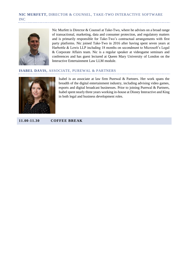#### **NIC MURFETT,** DIRECTOR & COUNSEL, TAKE-TWO INTERACTIVE SOFTWARE INC



Nic Murfett is Director & Counsel at Take-Two, where he advises on a broad range of transactional, marketing, data and consumer protection, and regulatory matters and is primarily responsible for Take-Two's contractual arrangements with first party platforms. Nic joined Take-Two in 2016 after having spent seven years at Harbottle & Lewis LLP including 18 months on secondment to Microsoft's Legal & Corporate Affairs team. Nic is a regular speaker at videogame seminars and conferences and has guest lectured at Queen Mary University of London on the Interactive Entertainment Law LLM module.

#### **ISABEL DAVIS,** ASSOCIATE, PUREWAL & PARTNERS



Isabel is an associate at law firm Purewal & Partners. Her work spans the breadth of the digital entertainment industry, including advising video games, esports and digital broadcast businesses. Prior to joining Purewal & Partners, Isabel spent nearly three years working in-house at Disney Interactive and King in both legal and business development roles.

**11.00-11.30 COFFEE BREAK**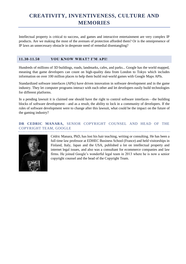# **CREATIVITY, INVENTIVENESS, CULTURE AND MEMORIES**

Intellectual property is critical to success, and games and interactive entertainment are very complex IP products. Are we making the most of the avenues of protection afforded them? Or is the omnipresence of IP laws an unnecessary obstacle in desperate need of remedial disentangling?

#### **11.30-11.50 YOU KNOW WHAT? I'M API!**

Hundreds of millions of 3D buildings, roads, landmarks, cafes, and parks... Google has the world mapped, meaning that game developers can count on high-quality data from London to Tokyo which includes information on over 100 million places to help them build real-world games with Google Maps APIs.

Standardized software interfaces (APIs) have driven innovation in software development and in the game industry. They let computer programs interact with each other and let developers easily build technologies for different platforms.

In a pending lawsuit it is claimed one should have the right to control software interfaces—the building blocks of software development—and as a result, the ability to lock in a community of developers. If the rules of software development were to change after this lawsuit, what could be the impact on the future of the gaming industry?

#### **DR CEDRIC MANARA,** SENIOR COPYRIGHT COUNSEL AND HEAD OF THE COPYRIGHT TEAM, GOOGLE



Cédric Manara, PhD, has lost his hair teaching, writing or consulting. He has been a full time law professor at EDHEC Business School (France) and held visitorships in Finland, Italy, Japan and the USA, published a lot on intellectual property and internet legal issues, and also was a consultant for ecommerce companies and law firms. He joined Google's wonderful legal team in 2013 where he is now a senior copyright counsel and the head of the Copyright Team.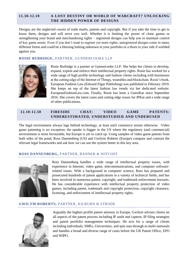#### **11.50-12.10 A LOST DESTINY OR WORLD OF WARCRAFT? UNLOCKING THE HIDDEN POWER OF DESIGNS**

Designs are the neglected cousin of trade marks, patents and copyright. But if you take the time to get to know them, designs and will serve you well. Whether it is limiting the power of clone games or strengthening your brand and merchandising rights – registered designs can help you to maintain control of key game assets. Even if you don't want to register yet more rights, unregistered designs come in many different forms and could be a blessing lurking unknown in your portfolio or a thorn in your side if wielded against you.

#### **ROSIE BURBIDGE,** PARTNER, GUNNERCOOKE LLP



Rosie Burbidge is a partner at Gunnercooke LLP. She helps her clients to develop, expand, exploit and enforce their intellectual property rights. Rosie has worked for a wide range of high profile technology and fashion clients including with businesses at the cutting edge of the Internet of Things, wearables and blockchain. Rosie's book, European Fashion Law (Edward Elgar Publishing) was published in February 2019. She keeps on top of the latest fashion law trends via her dedicated website: EuropeanFashionLaw.com. Finally, Rosie has been a GuestKat since September 2016. She covers the latest cases and cutting edge issues for IPKat and a wide range of other publications.

#### **12.10-12.50 FIRESIDE CHAT: VIDEO GAME PATENTS: UNDERESTIMATED, UNDERSTUDIED AND UNDERUSED**

The legal environment always lags behind technology, at least until commerce insists otherwise. Video game patenting is no exception; the uptake is bigger in the US where the regulatory (and commercial) environment is more favourable, but Europe is yet to catch up. Using samples of video game patents from both sides of the pond, Ross Dannenberg (US) and Gwilym Roberts (Europe) compare and contrast the relevant legal frameworks and ask how we can use the system better in this key area.

#### **ROSS DANNENBERG,** PARTNER, BANNER & WITCOFF



Ross Dannenberg handles a wide range of intellectual property issues, with experience in Internet, video game, telecommunications, and computer softwarerelated issues. With a background in computer science, Ross has prepared and prosecuted hundreds of patent applications in a variety of technical fields, and has been involved in numerous patent, copyright, and trademark enforcement lawsuits. He has considerable experience with intellectual property protection of video games, including patent, trademark and copyright protection, copyright clearance, licensing, and enforcement of intellectual property rights.

#### **GWILYM ROBERTS,** PARTNER, KILBURN & STRODE



Arguably the highest profile patent attorney in Europe, Gwilym advises clients on all aspects of the patent process including IP audit and capture, IP filing strategies and patent portfolio management techniques. He acts for a range of clients including individuals, SMEs, Universities, and spin outs through to multi-nationals and handles a broad and diverse range of cases before the UK Patent Office, EPO and WIPO.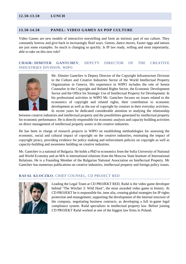#### **13.50-14.50 PANEL: VIDEO GAMES AS POP CULTURE**

Video Games are new models of interactive storytelling and form an intrinsic part of our culture. They constantly borrow and give back in increasingly fluid ways. Genres, dance moves, Easter eggs and tattoos are just some examples. So much is changing so quickly. Is IP law ready, willing and most importantly, able to take on this new role?

#### **CHAIR: DIMITER GANTCHEV**, DEPUTY DIRECTOR OF THE CREATIVE INDUSTRIES DIVISION, WIPO



Mr. Dimiter Gantchev is Deputy Director of the Copyright Infrastructure Division in the Culture and Creative Industries Sector of the World Intellectual Property Organization in Geneva. His experience in WIPO includes the role of Senior Counselor in the Copyright and Related Rights Sector, the Economic Development Sector and the Office for Strategic Use of Intellectual Property for Development. In his professional activities in WIPO Mr. Gantchev focuses on issues related to the economics of copyright and related rights, their contribution to economic development as well as the use of copyright by creators in their everyday activities. In recent years he dedicated considerable attention to studying the relationship

between creative industries and intellectual property and the possibilities generated by intellectual property for economic performance. He is directly responsible for economic analysis and capacity building activities on direct management of intellectual property assets in the creative industries.

He has been in charge of research projects in WIPO on establishing methodologies for assessing the economic, social and cultural impact of copyright on the creative industries, estimating the impact of copyright piracy, providing evidence for policy making and enforcement policies on copyright as well as capacity-building and awareness building on creative industries.

Mr. Gantchev is a national of Bulgaria. He holds a PhD in economics from the Sofia University of National and World Economy and an MA in international relations from the Moscow State Institute of International Relations. He is a Founding Member of the Bulgarian National Association on Intellectual Property. Mr Gantchev has numerous publications on creative industries, intellectual property and foreign policy issues.

#### **RAFAŁ KŁOCZKO**, CHIEF COUNSEL, CD PROJECT RED



Leading the Legal Team at CD PROJEKT RED, Rafał is the video game developer behind "The Witcher 3: Wild Hunt", the most awarded video game in history. At CD PROJEKT he is responsible for, inter alia, creating global strategies for IP rights protection and management, supporting the development of the internal structure of the company, negotiating business contracts, as developing a full in-game legal compliance system. Rafał specializes in intellectual property law. Before joining CD PROJEKT Rafał worked at one of the biggest law firms in Poland.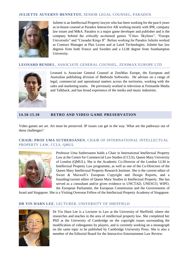#### **JULIETTE AUVERNY-BENNETOT,** SENIOR LEGAL COUNSEL, PARADOX



Juliette is an Intellectual Property lawyer who has been working for the past 6 years as in-house counsel at Paradox Interactive AB working mostly with IPR, company law issues and M&A. Paradox is a major game developer and publisher and is the company behind the critically acclaimed games "Cities: Skylines", "Europa Universalis" and "Crusader Kings II". Before working for Paradox Juliette worked as Contract Manager at Plus Licens and at Laird Technologies. Juliette has law degrees from both France and Sweden and a LLM degree from Southampton University.

#### **LEONARD BENDEL**, ASSOCIATE GENERAL COUNSEL, ZENIMAX EUROPE LTD



Leonard is Associate General Counsel at ZeniMax Europe, the European and Australian publishing division of Bethesda Softworks. He advises on a range of legal, commercial and operational matters across the territories, working with the sales and marketing teams. He previously worked in television at Fremantle Media and Talkback, and has broad experience of the media and music industries.

#### **14.50-15.30 RETRO AND VIDEO GAME PRESERVATION**

Video games are art. Art must be preserved. IP issues can get in the way. What are the pathways out of these challenges?

#### **CHAIR: PROF UMA SUTHERSANEN**, CHAIR OF INTERNATIONAL INTELLECTUAL PROPERTY LAW, CCLS, OMUL



Professor Uma Suthersanen holds a Chair in International Intellectual Property Law at the Centre for Commercial Law Studies (CCLS), Queen Mary University of London (QMUL). She is the Academic Co-Director of the London LLM in Intellectual Property Law programme, as well as one of the Co-Directors of the Queen Mary Intellectual Property Research Institute. She is the current editor of Sweet & Maxwell's European Copyright and Design Reports, and a founding/current editor of Queen Mary Studies in Intellectual Property. She has served as a consultant and/or given evidence to UNCTAD, UNESCO, WIPO, the European Parliament, the European Commission and the Governments of

Israel and Singapore. She is a Visiting Overseas Fellow of the Intellectual Property Academy of Singapore.

#### **DR YIN HARN LEE**, LECTURER, UNIVERSITY OF SHEFFIELD



Dr Yin Harn Lee is a Lecturer in Law at the University of Sheffield, where she researches and teaches in the area of intellectual property law. She completed her PhD at the University of Cambridge on the copyright issues surrounding the modification of videogames by players, and is currently working on a monograph on the same topic to be published by Cambridge University Press. She is also a member of the Editorial Board for the Interactive Entertainment Law Review.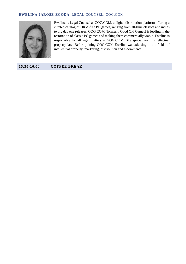#### **EWELINA JAROSZ-ZGODA**, LEGAL COUNSEL, GOG.COM



Ewelina is Legal Counsel at GOG.COM, a digital distribution platform offering a curated catalog of DRM-free PC games, ranging from all-time classics and indies to big day one releases. GOG.COM (formerly Good Old Games) is leading in the restoration of classic PC games and making them commercially viable. Ewelina is responsible for all legal matters at GOG.COM. She specializes in intellectual property law. Before joining GOG.COM Ewelina was advising in the fields of intellectual property, marketing, distribution and e-commerce.

**15.30-16.00 COFFEE BREAK**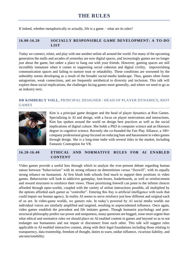If indeed, whether metaphorically or actually, life is a game – what are its rules?

#### **16.00-16.20 SOCIALLY RESPONSIBLE GAME DEVELOPMENT: A TO-DO LIST**

Today we connect, relate, and play with one another online all around the world. For many of the upcoming generation the malls and arcades of yesterday are now digital spaces, and increasingly games are no longer just about the game, but rather a place to hang out with your friends. However, gaming spaces are still incredibly immature when it comes to supporting social cohesion and digital civility, impoverishing communication spaces and failing to nurture trust or relatability. These conditions are worsened by the unhealthy norms developing as a result of the broader social-media landscape. Thus, games often foster antagonism, weak connections, and are frequently antithetical to diversity and inclusion. This talk will explore these social implications, the challenges facing games more generally, and where we need to go as an industry next.

#### **DR KIMBERLY VOLL**, PRINCIPAL DESIGNER / HEAD OF PLAYER DYNAMICS, RIOT GAMES



Kim is a principal game designer and the head of player dynamics at Riot Games. Specializing in AI and design, with a focus on player motivations and interactions, Kim has spoken around the world on design best practices as well as the social implications of digital culture. She holds a PhD in computer science and an Honours degree in cognitive science. Recently she co-founded the Fair Play Alliance, a 100+ company professional group focused on reducing hate and harassment in video games through design. She is a long-time indie with several titles in the market, including Fantastic Contraption for VR.

#### **16.20-16.40 ETHICAL AND NORMATIVE RULES FOR AI ENABLED CONTENT**

Video games provide a useful lens through which to analyze the ever-present debate regarding human nature between "behaviorism" with its strong reliance on determinism versus "freewill", with its equally strong reliance on humanism. At first blush both schools find much to support their positions in video games. Behaviorists will look to addictive gameplay, loot-boxes, leaderboards, as well as reinforcement and reward structures to reinforce their views. Those prioritizing freewill can point to the infinite choices afforded through open-worlds, coupled with the variety of online interactions possible, all multiplied by the options afforded each gamer as "controller". Entering this fray is artificial intelligence with tools that could impair our human agency. In reality AI seems to serve reinforce just how different and original each of us are. In video-game worlds, we gamers rule. In today's powered by AI social media worlds our individual voices are similarly amplified and targeted, resulting in unprecedented influence. Once again, video games establish the precedent and life imitates games. Though humanist psychology and poststructural philosophy predict our power and uniqueness, many questions are begged, none more urgent than what ethical and normative rules we should place on AI enabled content in games and beyond so as to not endanger our humanness and not impair or disconnect from each other. This talk will suggest rules applicable to AI enabled interactive content, along with their legal foundations including those relating to transparency, data trusteeship, freedom of thought, duties to warn, undue influence, vicarious liability, and unconscionability.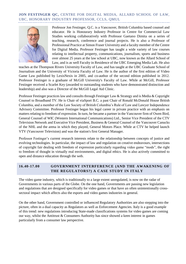#### **JON FESTINGER QC,** CENTRE FOR DIGITAL MEDIA, ALLARD SCHOOL OF LAW, UBC, HONORARY INDUSTRY PROFESSOR, CCLS, QMUL



Professor Jon Festinger, Q.C. is a Vancouver, British Columbia based counsel and educator. He is Honourary Industry Professor in Centre for Commercial Law Studies working collaboratively with Professor Gaetano Dimita on a series of teaching, research, conference and journal projects. He is also a Professor of Professional Practice at Simon Fraser University and a faculty member of the Centre for Digital Media. Professor Festinger has taught a wide variety of law courses relating to intellectual property, communications, journalism, sports and business over almost 25 years at the law school at UBC, now known as the Allard School of Law, and is as well Faculty in Residence of the UBC Emerging Media Lab. He also

teaches at the Thompson Rivers University Faculty of Law, and has taught at the UBC Graduate School of Journalism and the University of Victoria Faculty of Law. He is the author of the first edition of Video Game Law published by LexisNexis in 2005, and co-author of the second edition published in 2012. Professor Festinger is a graduate of McGill University's Faculty of Law. While at McGill, Professor Festinger received a Scarlet Key (awarded to outstanding students who have demonstrated distinction and leadership) and also was a Director of the McGill Legal Aid Clinic.

Professor Festinger practices law and consults through Festinger Law & Strategy and is Media & Copyright Counsel to Broadband TV. He is Chair of viaSport B.C. a past Chair of Ronald McDonald House British Columbia, and a member of the Law Society of British Columbia's Rule of Law and Lawyer Independence Advisory Committee. Professor Festinger began his legal career in private practice with an emphasis on matters relating to freedom of expression. In turn, he became a partner in the Vancouver firm of Owen Bird, General Counsel of WIC (Western International Communications) Ltd., Senior Vice President of the CTV Television Network and Executive Vice President, Business & General Counsel of the Vancouver Canucks of the NHL and the arena in which they played, General Motors Place. While at CTV he helped launch VTV (Vancouver Television) and was the station's first General Manager.

Professor Festinger's current research interests relate to the relationship between concepts of justice and evolving technologies. In particular, the impact of law and regulation on creative endeavours, intersections of copyright fair dealing with freedom of expression particularly regarding video game "mods", the right to freedom of thought in virtually real environments, and digital ethics. He is also actively committed to open and distance education through the web.

#### **16.40-17.00 GOVERNMENT INTERFERENCE (AND THE AWAKENING OF THE REGULATORS?) A CASE STUDY IN ITALY**

The video game industry, which is traditionally to a large extent unregulated, is now on the radar of Governments in various parts of the Globe. On the one hand, Governments are passing new legislation and regulations that are designed specifically for video games or that have an often unintentionally crosssectoral impact which affects also the esports and video games industries in general.

On the other hand, Government controlled or influenced Regulatory Authorities are also stepping into the picture, often in a dual capacity as Regulators as well as Enforcement Agencies. Italy is a good example of this trend: new regulations introducing State-made classifications systems for video games are coming our way, whilst the Antitrust & Consumers Authority has since showed a keen interest in games particularly from a consumer law perspective.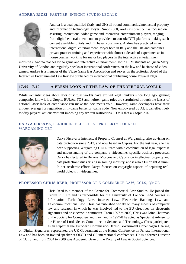

Andrea is a dual qualified (Italy and UK) all-round commercial/intellectual property and information technology lawyer. Since 2008, Andrea's practice has focused on assisting international video game and interactive entertainment players, ranging from digital entertainment content providers to console/OTT platforms making such content available to Italy and EU based consumers. Andrea has practiced as an international digital entertainment lawyer both in Italy and the UK and combines private practice training and experience with almost a decade of experience as inhouse counsel working for major key players in the interactive entertainment

industries. Andrea teaches video game and interactive entertainment law to LLM students at Queen Mary University of London and regularly speaks at international conferences on the law and business of video games. Andrea is a member of the Video Game Bar Association and serves on the Editorial Board of the Interactive Entertainment Law Review published by international publishing house Edward Elgar.

#### **17.00-17.40 A FRESH LOOK AT THE LAW OF THE VIRTUAL WORLD**

While romantic ideas about laws of virtual worlds have excited legal thinkers since long ago, gaming companies know it is a Utopia. EULAs, TOS and written game rules are scrutinized through the lenses of national laws: lack of compliance can make the documents void. However, game developers have their unique leverage for regulation of in-game behavior: game code. Now empowered by AI, it can effectively modify players' actions without imposing any written restrictions… Or is that a Utopia 2.0?

#### **DARYA FIRSAVA**, SENIOR INTELLECTUAL PROPERTY COUNSEL, WARGAMING.NET



Darya Firsava is Intellectual Property Counsel at Wargaming, also advising on data protection since 2013, and now based in Cyprus. For the last year, she has been supporting Wargaming GDPR team with a combination of legal expertise and understanding of the company's videogames-specific business processes. Darya has lectured in Belarus, Moscow and Cyprus on intellectual property and data protection issues arising in gaming industry, and is also a Fulbright Alumni. In her academic efforts Darya focuses on copyright aspects of depicting realworld objects in videogames.

#### **PROFESSOR CHRIS REED**, PROFESSOR OF E-COMMERCE LAW, CCLS, QMUL



Chris Reed is a member of the Centre for Commercial Law Studies. He joined the Centre in 1987 and is responsible for the University of London LLM courses in Information Technology Law, Internet Law, Electronic Banking Law and Telecommunications Law. Chris has published widely on many aspects of computer law and research in which he was involved led to the EU directives on electronic signatures and on electronic commerce. From 1997 to 2000, Chris was Joint Chairman of the Society for Computers and Law, and in 1997-8 he acted as Specialist Adviser to the House of Lords Select Committee on Science and Technology. Chris participated as an Expert at the European Commission/Danish Government Copenhagen Hearing

on Digital Signatures, represented the UK Government at the Hague Conference on Private International Law and has been an invited speaker at OECD and G8 international conferences. He is a former Director of CCLS, and from 2004 to 2009 was Academic Dean of the Faculty of Law & Social Sciences.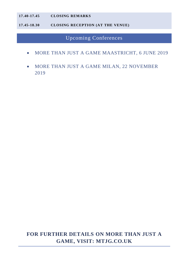#### **17.40-17.45 CLOSING REMARKS**

**17.45-18.30 CLOSING RECEPTION (AT THE VENUE)** 

Upcoming Conferences

- MORE THAN JUST A GAME MAASTRICHT, 6 JUNE 2019
- MORE THAN JUST A GAME MILAN, 22 NOVEMBER 2019

# **FOR FURTHER DETAILS ON MORE THAN JUST A GAME, VISIT: MTJG.CO.UK**